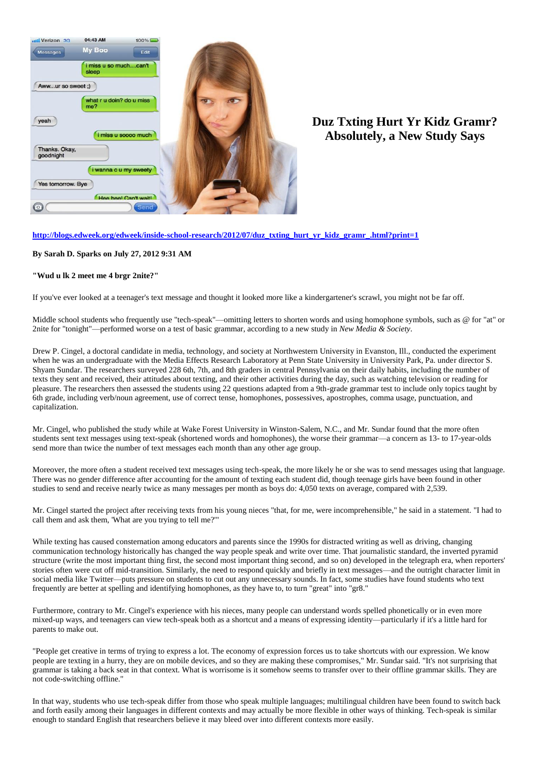

## **Duz Txting Hurt Yr Kidz Gramr? Absolutely, a New Study Says**

## **[http://blogs.edweek.org/edweek/inside-school-research/2012/07/duz\\_txting\\_hurt\\_yr\\_kidz\\_gramr\\_.html?print=1](http://blogs.edweek.org/edweek/inside-school-research/2012/07/duz_txting_hurt_yr_kidz_gramr_.html?print=1)**

## **By [Sarah D. Sparks](http://www.edweek.org/ew/contributors/sarah.sparks_3549540.html) on July 27, 2012 9:31 AM**

## **"Wud u lk 2 meet me 4 brgr 2nite?"**

If you've ever looked at a teenager's text message and thought it looked more like a kindergartener's scrawl, you might not be far off.

Middle school students who frequently use "tech-speak"—omitting letters to shorten words and using homophone symbols, such as @ for "at" or 2nite for "tonight"—performed worse on a test of basic grammar, according to a ne[w study i](http://nms.sagepub.com/content/early/2012/05/10/1461444812442927)n *New Media & Society*.

Drew P. Cingel, a doctoral candidate in media, technology, and society at Northwestern University in Evanston, Ill., conducted the experiment when he was an undergraduate with the Media Effects Research Laboratory at Penn State University in University Park, Pa. under director S. Shyam Sundar. The researchers surveyed 228 6th, 7th, and 8th graders in central Pennsylvania on their daily habits, including the number of texts they sent and received, their attitudes about texting, and their other activities during the day, such as watching television or reading for pleasure. The researchers then assessed the students using 22 questions adapted from a 9th-grade grammar test to include only topics taught by 6th grade, including verb/noun agreement, use of correct tense, homophones, possessives, apostrophes, comma usage, punctuation, and capitalization.

Mr. Cingel, who published the study while at Wake Forest University in Winston-Salem, N.C., and Mr. Sundar found that the more often students sent text messages using text-speak (shortened words and homophones), the worse their grammar—a concern as 13- to 17-year-olds sen[d more than twice](http://blog.nielsen.com/nielsenwire/online_mobile/u-s-teen-mobile-report-calling-yesterday-texting-today-using-apps-tomorrow/) the number of text messages each month than any other age group.

Moreover, the more often a student received text messages using tech-speak, the more likely he or she was to send messages using that language. There was no gender difference after accounting for the amount of texting each student did, though teenage girls have been found in other studies to send and receive nearly twice as many messages per month as boys do: 4,050 texts on average, compared with 2,539.

Mr. Cingel started the project after receiving texts from his young nieces "that, for me, were incomprehensible," he said in a statement. "I had to call them and ask them, 'What are you trying to tell me?'"

While [texting](http://cdp.sagepub.com/content/18/1/1.short) has caused consternation among educators and parents since the 1990s for distracted writing as well as [driving,](http://blogs.edweek.org/edweek/inside-school-research/2012/06/cdc_survey_finds_1_in_3_studen.html) changing communication technology historically has changed the way people speak and write over time. That journalistic standard, the inverted pyramid structure (write the most important thing first, the second most important thing second, and so on) developed in the telegraph era, when reporters' stories often were cut off mid-transition. Similarly, the need to respond quickly and briefly in text messages—and the outright character limit in social media like Twitter—puts pressure on students to cut out any unnecessary sounds. In fact, some studies have found students who text frequently [are better](http://www.newcastle.edu.au/Resources/Research%20Centres/SORTI/Journals/AJEDP/Vol%2011/V11_bushnell_et_al.pdf) at spelling and identifying homophones, as they have to, to turn "great" into "gr8."

Furthermore, contrary to Mr. Cingel's experience with his nieces, many people can understand words spelled phonetically or in [even more](http://www.snopes.com/language/apocryph/cambridge.asp)  [mixed-up ways,](http://www.snopes.com/language/apocryph/cambridge.asp) and teenagers can view tech-speak both as a shortcut and a means of expressing identity—particularly if it's a little hard for parents to make out.

"People get creative in terms of trying to express a lot. The economy of expression forces us to take shortcuts with our expression. We know people are texting in a hurry, they are on mobile devices, and so they are making these compromises," Mr. Sundar said. "It's not surprising that grammar is taking a back seat in that context. What is worrisome is it somehow seems to transfer over to their offline grammar skills. They are not code-switching offline."

In that way, students who use tech-speak differ from those who speak multiple languages; multilingual children have bee[n found t](http://www.edweek.org/ew/articles/2010/10/27/09window_ep-2.h30.html)o switch back and forth easily among their languages in different contexts and may actually be more flexible in other ways of thinking. Tech-speak is similar enough to standard English that researchers believe it may bleed over into different contexts more easily.